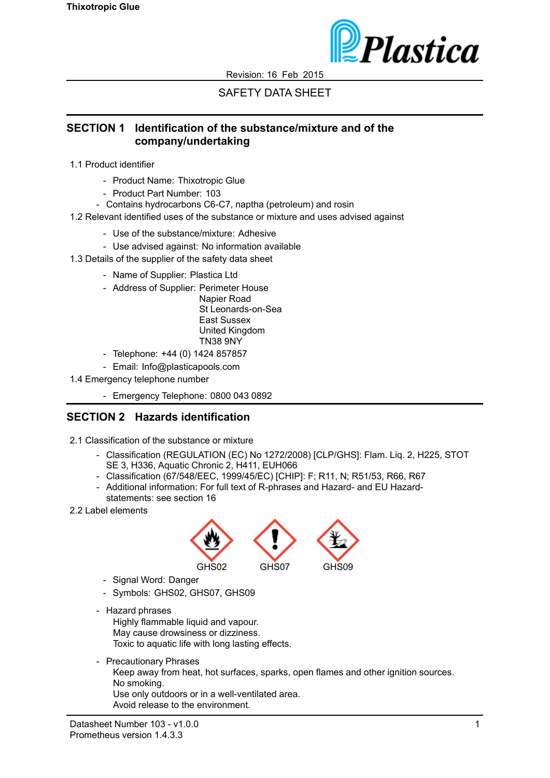

# SAFETY DATA SHEET

#### **SECTION 1 Identification of the substance/mixture and of the company/undertaking**

- 1.1 Product identifier
	- Product Name: Thixotropic Glue
	- Product Part Number: 103
	- Contains hydrocarbons C6-C7, naptha (petroleum) and rosin
- 1.2 Relevant identified uses of the substance or mixture and uses advised against
	- Use of the substance/mixture: Adhesive
	- Use advised against: No information available
- 1.3 Details of the supplier of the safety data sheet
	- Name of Supplier: Plastica Ltd
	- Address of Supplier: Perimeter House

Napier Road St Leonards-on-Sea East Sussex United Kingdom TN38 9NY

- Telephone: +44 (0) 1424 857857
- Email: Info@plasticapools.com
- 1.4 Emergency telephone number
	- Emergency Telephone: 0800 043 0892

# **SECTION 2 Hazards identification**

- 2.1 Classification of the substance or mixture
	- Classification (REGULATION (EC) No 1272/2008) [CLP/GHS]: Flam. Liq. 2, H225, STOT SE 3, H336, Aquatic Chronic 2, H411, EUH066
	- Classification (67/548/EEC, 1999/45/EC) [CHIP]: F; R11, N; R51/53, R66, R67
	- Additional information: For full text of R-phrases and Hazard- and EU Hazardstatements: see section 16
- 2.2 Label elements



- Signal Word: Danger
- Symbols: GHS02, GHS07, GHS09
- Hazard phrases

Highly flammable liquid and vapour. May cause drowsiness or dizziness. Toxic to aquatic life with long lasting effects.

- Precautionary Phrases

Keep away from heat, hot surfaces, sparks, open flames and other ignition sources. No smoking.

Use only outdoors or in a well-ventilated area. Avoid release to the environment.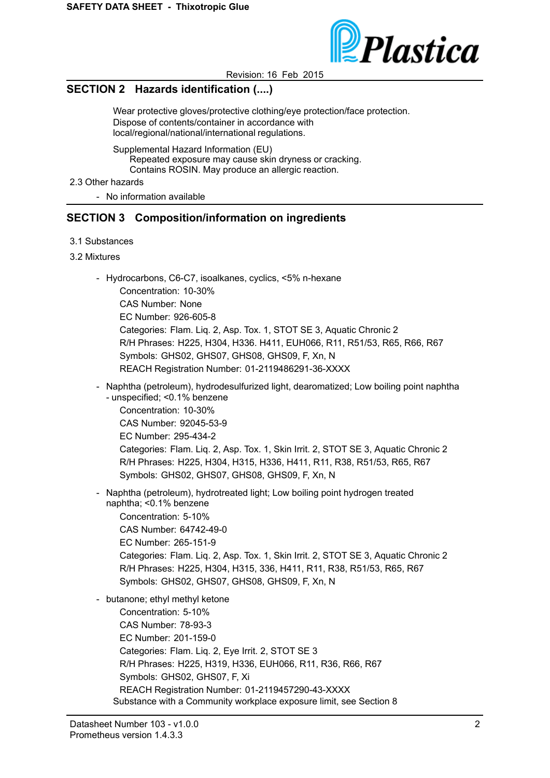

### **SECTION 2 Hazards identification (....)**

Wear protective gloves/protective clothing/eye protection/face protection. Dispose of contents/container in accordance with local/regional/national/international regulations.

Supplemental Hazard Information (EU) Repeated exposure may cause skin dryness or cracking. Contains ROSIN. May produce an allergic reaction.

2.3 Other hazards

- No information available

# **SECTION 3 Composition/information on ingredients**

- 3.1 Substances
- 3.2 Mixtures
	- Hydrocarbons, C6-C7, isoalkanes, cyclics, <5% n-hexane

Concentration: 10-30% CAS Number: None EC Number: 926-605-8 Categories: Flam. Liq. 2, Asp. Tox. 1, STOT SE 3, Aquatic Chronic 2 R/H Phrases: H225, H304, H336. H411, EUH066, R11, R51/53, R65, R66, R67 Symbols: GHS02, GHS07, GHS08, GHS09, F, Xn, N REACH Registration Number: 01-2119486291-36-XXXX

- Naphtha (petroleum), hydrodesulfurized light, dearomatized; Low boiling point naphtha - unspecified; <0.1% benzene Concentration: 10-30% CAS Number: 92045-53-9

EC Number: 295-434-2 Categories: Flam. Liq. 2, Asp. Tox. 1, Skin Irrit. 2, STOT SE 3, Aquatic Chronic 2 R/H Phrases: H225, H304, H315, H336, H411, R11, R38, R51/53, R65, R67 Symbols: GHS02, GHS07, GHS08, GHS09, F, Xn, N

- Naphtha (petroleum), hydrotreated light; Low boiling point hydrogen treated naphtha; <0.1% benzene

Concentration: 5-10% CAS Number: 64742-49-0 EC Number: 265-151-9 Categories: Flam. Liq. 2, Asp. Tox. 1, Skin Irrit. 2, STOT SE 3, Aquatic Chronic 2 R/H Phrases: H225, H304, H315, 336, H411, R11, R38, R51/53, R65, R67 Symbols: GHS02, GHS07, GHS08, GHS09, F, Xn, N

- butanone; ethyl methyl ketone Concentration: 5-10% CAS Number: 78-93-3 EC Number: 201-159-0 Categories: Flam. Liq. 2, Eye Irrit. 2, STOT SE 3 R/H Phrases: H225, H319, H336, EUH066, R11, R36, R66, R67 Symbols: GHS02, GHS07, F, Xi REACH Registration Number: 01-2119457290-43-XXXX Substance with a Community workplace exposure limit, see Section 8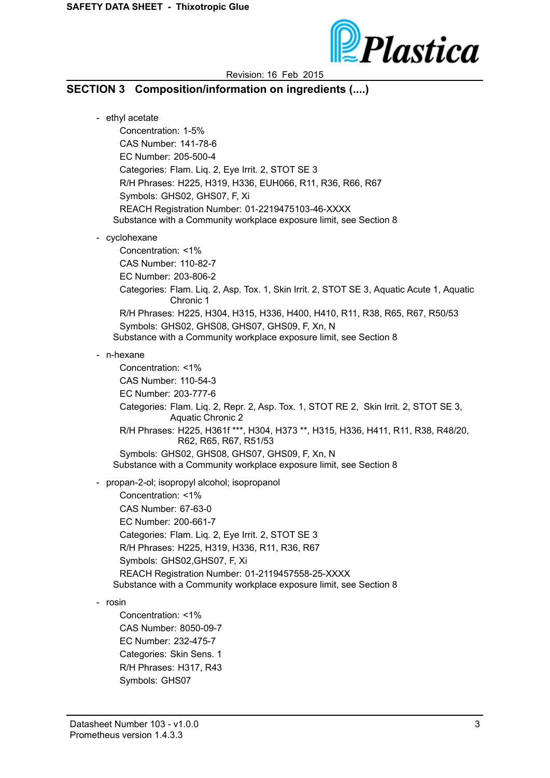

#### **SECTION 3 Composition/information on ingredients (....)**

- ethyl acetate Concentration: 1-5% CAS Number: 141-78-6 EC Number: 205-500-4 Categories: Flam. Liq. 2, Eye Irrit. 2, STOT SE 3 R/H Phrases: H225, H319, H336, EUH066, R11, R36, R66, R67 Symbols: GHS02, GHS07, F, Xi REACH Registration Number: 01-2219475103-46-XXXX Substance with a Community workplace exposure limit, see Section 8 - cyclohexane Concentration: <1% CAS Number: 110-82-7 EC Number: 203-806-2 Categories: Flam. Liq. 2, Asp. Tox. 1, Skin Irrit. 2, STOT SE 3, Aquatic Acute 1, Aquatic Chronic 1 R/H Phrases: H225, H304, H315, H336, H400, H410, R11, R38, R65, R67, R50/53 Symbols: GHS02, GHS08, GHS07, GHS09, F, Xn, N Substance with a Community workplace exposure limit, see Section 8 - n-hexane Concentration: <1% CAS Number: 110-54-3 EC Number: 203-777-6 Categories: Flam. Liq. 2, Repr. 2, Asp. Tox. 1, STOT RE 2, Skin Irrit. 2, STOT SE 3, Aquatic Chronic 2 R/H Phrases: H225, H361f \*\*\*, H304, H373 \*\*, H315, H336, H411, R11, R38, R48/20, R62, R65, R67, R51/53 Symbols: GHS02, GHS08, GHS07, GHS09, F, Xn, N Substance with a Community workplace exposure limit, see Section 8 - propan-2-ol; isopropyl alcohol; isopropanol Concentration: <1% CAS Number: 67-63-0 EC Number: 200-661-7

Categories: Flam. Liq. 2, Eye Irrit. 2, STOT SE 3 R/H Phrases: H225, H319, H336, R11, R36, R67 Symbols: GHS02,GHS07, F, Xi REACH Registration Number: 01-2119457558-25-XXXX Substance with a Community workplace exposure limit, see Section 8

- rosin

Concentration: <1% CAS Number: 8050-09-7 EC Number: 232-475-7 Categories: Skin Sens. 1 R/H Phrases: H317, R43 Symbols: GHS07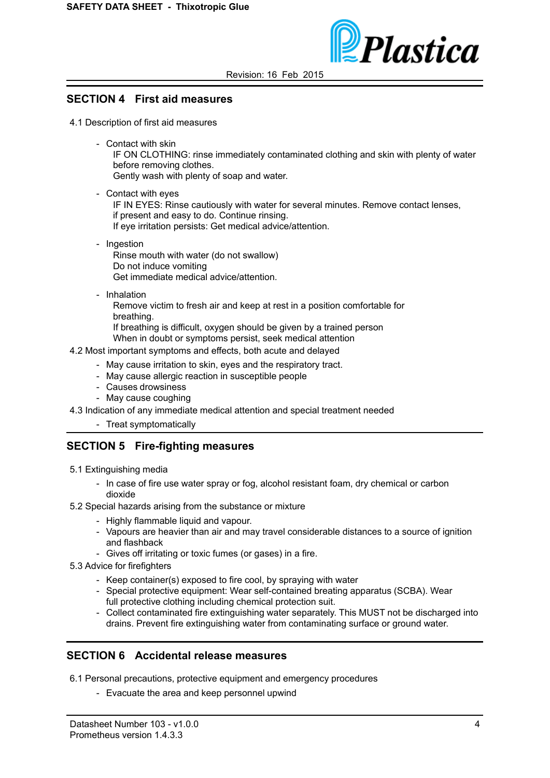

#### **SECTION 4 First aid measures**

4.1 Description of first aid measures

- Contact with skin

IF ON CLOTHING: rinse immediately contaminated clothing and skin with plenty of water before removing clothes.

Gently wash with plenty of soap and water.

- Contact with eyes

IF IN EYES: Rinse cautiously with water for several minutes. Remove contact lenses, if present and easy to do. Continue rinsing. If eye irritation persists: Get medical advice/attention.

- Ingestion Rinse mouth with water (do not swallow) Do not induce vomiting Get immediate medical advice/attention.
- Inhalation

Remove victim to fresh air and keep at rest in a position comfortable for breathing.

If breathing is difficult, oxygen should be given by a trained person When in doubt or symptoms persist, seek medical attention

- 4.2 Most important symptoms and effects, both acute and delayed
	- May cause irritation to skin, eyes and the respiratory tract.
	- May cause allergic reaction in susceptible people
	- Causes drowsiness
	- May cause coughing

4.3 Indication of any immediate medical attention and special treatment needed

- Treat symptomatically

### **SECTION 5 Fire-fighting measures**

- 5.1 Extinguishing media
	- In case of fire use water spray or fog, alcohol resistant foam, dry chemical or carbon dioxide
- 5.2 Special hazards arising from the substance or mixture
	- Highly flammable liquid and vapour.
	- Vapours are heavier than air and may travel considerable distances to a source of ignition and flashback
	- Gives off irritating or toxic fumes (or gases) in a fire.
- 5.3 Advice for firefighters
	- Keep container(s) exposed to fire cool, by spraying with water
	- Special protective equipment: Wear self-contained breating apparatus (SCBA). Wear full protective clothing including chemical protection suit.
	- Collect contaminated fire extinguishing water separately. This MUST not be discharged into drains. Prevent fire extinguishing water from contaminating surface or ground water.

#### **SECTION 6 Accidental release measures**

6.1 Personal precautions, protective equipment and emergency procedures

- Evacuate the area and keep personnel upwind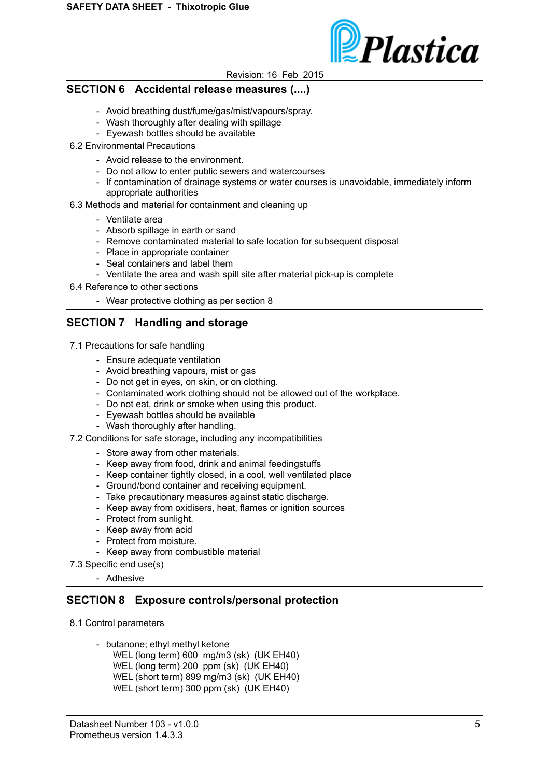

#### **SECTION 6 Accidental release measures (....)**

- Avoid breathing dust/fume/gas/mist/vapours/spray.
- Wash thoroughly after dealing with spillage
- Eyewash bottles should be available
- 6.2 Environmental Precautions
	- Avoid release to the environment.
	- Do not allow to enter public sewers and watercourses
	- If contamination of drainage systems or water courses is unavoidable, immediately inform appropriate authorities
- 6.3 Methods and material for containment and cleaning up
	- Ventilate area
	- Absorb spillage in earth or sand
	- Remove contaminated material to safe location for subsequent disposal
	- Place in appropriate container
	- Seal containers and label them
	- Ventilate the area and wash spill site after material pick-up is complete
- 6.4 Reference to other sections
	- Wear protective clothing as per section 8

### **SECTION 7 Handling and storage**

- 7.1 Precautions for safe handling
	- Ensure adequate ventilation
	- Avoid breathing vapours, mist or gas
	- Do not get in eyes, on skin, or on clothing.
	- Contaminated work clothing should not be allowed out of the workplace.
	- Do not eat, drink or smoke when using this product.
	- Eyewash bottles should be available
	- Wash thoroughly after handling.
- 7.2 Conditions for safe storage, including any incompatibilities
	- Store away from other materials.
	- Keep away from food, drink and animal feedingstuffs
	- Keep container tightly closed, in a cool, well ventilated place
	- Ground/bond container and receiving equipment.
	- Take precautionary measures against static discharge.
	- Keep away from oxidisers, heat, flames or ignition sources
	- Protect from sunlight.
	- Keep away from acid
	- Protect from moisture.
	- Keep away from combustible material
- 7.3 Specific end use(s)
	- Adhesive

#### **SECTION 8 Exposure controls/personal protection**

- 8.1 Control parameters
	- butanone; ethyl methyl ketone WEL (long term) 600 mg/m3 (sk) (UK EH40) WEL (long term) 200 ppm (sk) (UK EH40) WEL (short term) 899 mg/m3 (sk) (UK EH40) WEL (short term) 300 ppm (sk) (UK EH40)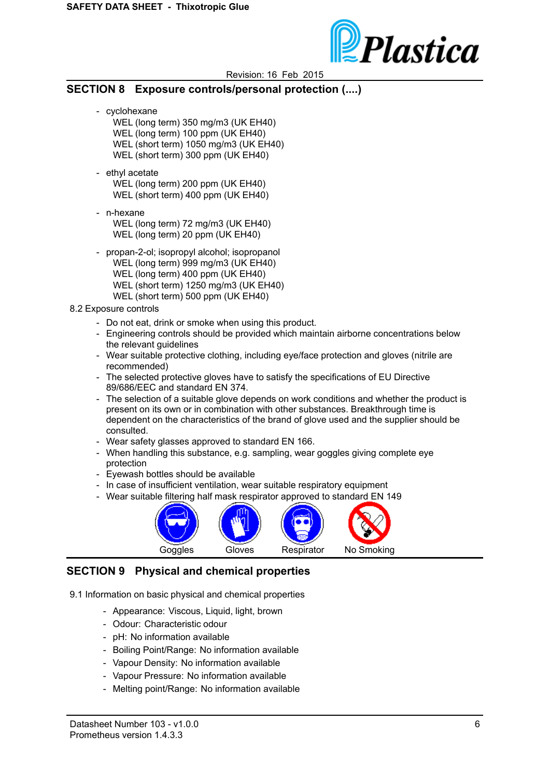

#### **SECTION 8 Exposure controls/personal protection (....)**

- cyclohexane
	- WEL (long term) 350 mg/m3 (UK EH40) WEL (long term) 100 ppm (UK EH40) WEL (short term) 1050 mg/m3 (UK EH40) WEL (short term) 300 ppm (UK EH40)
- ethyl acetate WEL (long term) 200 ppm (UK EH40) WEL (short term) 400 ppm (UK EH40)
- n-hexane WEL (long term) 72 mg/m3 (UK EH40) WEL (long term) 20 ppm (UK EH40)
- propan-2-ol; isopropyl alcohol; isopropanol WEL (long term) 999 mg/m3 (UK EH40) WEL (long term) 400 ppm (UK EH40) WEL (short term) 1250 mg/m3 (UK EH40) WEL (short term) 500 ppm (UK EH40)
- 8.2 Exposure controls
	- Do not eat, drink or smoke when using this product.
	- Engineering controls should be provided which maintain airborne concentrations below the relevant guidelines
	- Wear suitable protective clothing, including eye/face protection and gloves (nitrile are recommended)
	- The selected protective gloves have to satisfy the specifications of EU Directive 89/686/EEC and standard EN 374.
	- The selection of a suitable glove depends on work conditions and whether the product is present on its own or in combination with other substances. Breakthrough time is dependent on the characteristics of the brand of glove used and the supplier should be consulted.
	- Wear safety glasses approved to standard EN 166.
	- When handling this substance, e.g. sampling, wear goggles giving complete eye protection
	- Eyewash bottles should be available
	- In case of insufficient ventilation, wear suitable respiratory equipment
	- Wear suitable filtering half mask respirator approved to standard EN 149



### **SECTION 9 Physical and chemical properties**

- 9.1 Information on basic physical and chemical properties
	- Appearance: Viscous, Liquid, light, brown
	- Odour: Characteristic odour
	- pH: No information available
	- Boiling Point/Range: No information available
	- Vapour Density: No information available
	- Vapour Pressure: No information available
	- Melting point/Range: No information available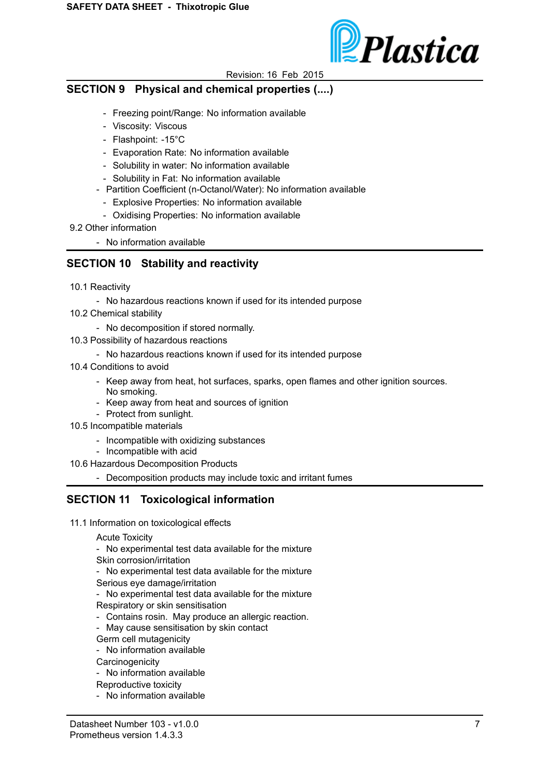

## **SECTION 9 Physical and chemical properties (....)**

- Freezing point/Range: No information available
- Viscosity: Viscous
- Flashpoint: -15°C
- Evaporation Rate: No information available
- Solubility in water: No information available
- Solubility in Fat: No information available
- Partition Coefficient (n-Octanol/Water): No information available
	- Explosive Properties: No information available
	- Oxidising Properties: No information available
- 9.2 Other information
	- No information available

# **SECTION 10 Stability and reactivity**

- 10.1 Reactivity
	- No hazardous reactions known if used for its intended purpose
- 10.2 Chemical stability
	- No decomposition if stored normally.
- 10.3 Possibility of hazardous reactions
	- No hazardous reactions known if used for its intended purpose
- 10.4 Conditions to avoid
	- Keep away from heat, hot surfaces, sparks, open flames and other ignition sources. No smoking.
	- Keep away from heat and sources of ignition
	- Protect from sunlight.
- 10.5 Incompatible materials
	- Incompatible with oxidizing substances
	- Incompatible with acid
- 10.6 Hazardous Decomposition Products
	- Decomposition products may include toxic and irritant fumes

### **SECTION 11 Toxicological information**

- 11.1 Information on toxicological effects
	- Acute Toxicity
	- No experimental test data available for the mixture Skin corrosion/irritation
	- No experimental test data available for the mixture
	- Serious eye damage/irritation
	- No experimental test data available for the mixture
	- Respiratory or skin sensitisation
	- Contains rosin. May produce an allergic reaction.
	- May cause sensitisation by skin contact

Germ cell mutagenicity

- No information available
- **Carcinogenicity**
- No information available
- Reproductive toxicity
- No information available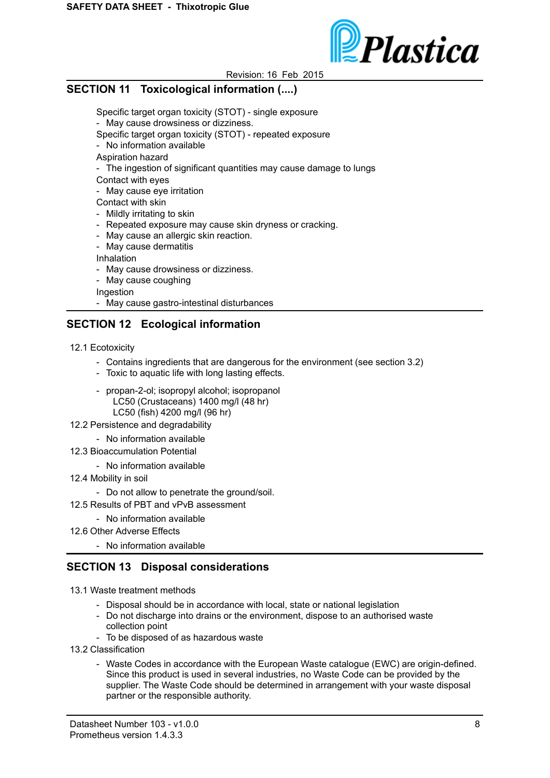

## **SECTION 11 Toxicological information (....)**

Specific target organ toxicity (STOT) - single exposure

- May cause drowsiness or dizziness.

Specific target organ toxicity (STOT) - repeated exposure

- No information available
- Aspiration hazard
- The ingestion of significant quantities may cause damage to lungs

Contact with eyes

- May cause eye irritation

Contact with skin

- Mildly irritating to skin
- Repeated exposure may cause skin dryness or cracking.
- May cause an allergic skin reaction.
- May cause dermatitis

Inhalation

- May cause drowsiness or dizziness.
- May cause coughing

Ingestion

- May cause gastro-intestinal disturbances

## **SECTION 12 Ecological information**

- 12.1 Ecotoxicity
	- Contains ingredients that are dangerous for the environment (see section 3.2)
	- Toxic to aquatic life with long lasting effects.
	- propan-2-ol; isopropyl alcohol; isopropanol LC50 (Crustaceans) 1400 mg/l (48 hr) LC50 (fish) 4200 mg/l (96 hr)
- 12.2 Persistence and degradability
	- No information available
- 12.3 Bioaccumulation Potential
	- No information available
- 12.4 Mobility in soil
	- Do not allow to penetrate the ground/soil.
- 12.5 Results of PBT and vPvB assessment
	- No information available
- 12.6 Other Adverse Effects

- No information available

### **SECTION 13 Disposal considerations**

13.1 Waste treatment methods

- Disposal should be in accordance with local, state or national legislation
- Do not discharge into drains or the environment, dispose to an authorised waste collection point
- To be disposed of as hazardous waste
- 13.2 Classification
	- Waste Codes in accordance with the European Waste catalogue (EWC) are origin-defined. Since this product is used in several industries, no Waste Code can be provided by the supplier. The Waste Code should be determined in arrangement with your waste disposal partner or the responsible authority.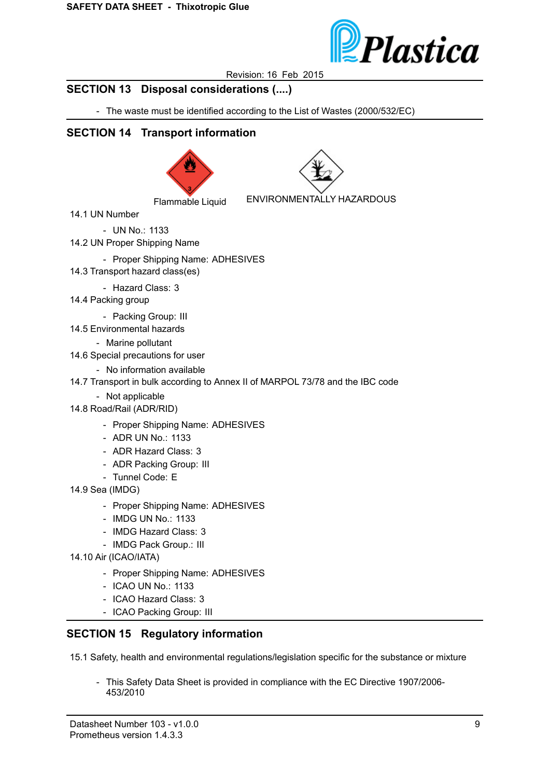

## **SECTION 13 Disposal considerations (....)**

- The waste must be identified according to the List of Wastes (2000/532/EC)

# **SECTION 14 Transport information**





Flammable Liquid ENVIRONMENTALLY HAZARDOUS

14.1 UN Number

- UN No.: 1133

14.2 UN Proper Shipping Name

- Proper Shipping Name: ADHESIVES
- 14.3 Transport hazard class(es)
	- Hazard Class: 3
- 14.4 Packing group
	- Packing Group: III
- 14.5 Environmental hazards

- Marine pollutant

- 14.6 Special precautions for user
	- No information available
- 14.7 Transport in bulk according to Annex II of MARPOL 73/78 and the IBC code
	- Not applicable
- 14.8 Road/Rail (ADR/RID)
	- Proper Shipping Name: ADHESIVES
	- ADR UN No.: 1133
	- ADR Hazard Class: 3
	- ADR Packing Group: III
	- Tunnel Code: E
- 14.9 Sea (IMDG)
	- Proper Shipping Name: ADHESIVES
	- IMDG UN No.: 1133
	- IMDG Hazard Class: 3
	- IMDG Pack Group.: III
- 14.10 Air (ICAO/IATA)
	- Proper Shipping Name: ADHESIVES
	- ICAO UN No.: 1133
	- ICAO Hazard Class: 3
	- ICAO Packing Group: III

### **SECTION 15 Regulatory information**

15.1 Safety, health and environmental regulations/legislation specific for the substance or mixture

- This Safety Data Sheet is provided in compliance with the EC Directive 1907/2006- 453/2010